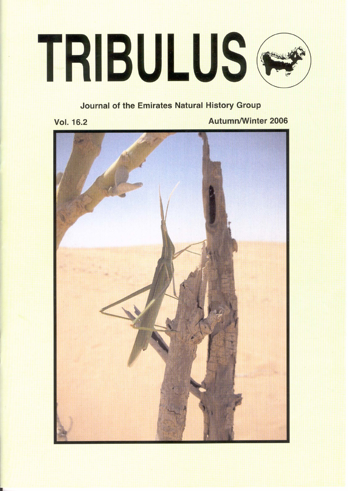# TRIBULUS<sup>®</sup>

# **Journal of the Emirates Natural History Group**

**Vol. 16.2** 

**Autumn/Winter 2006** 

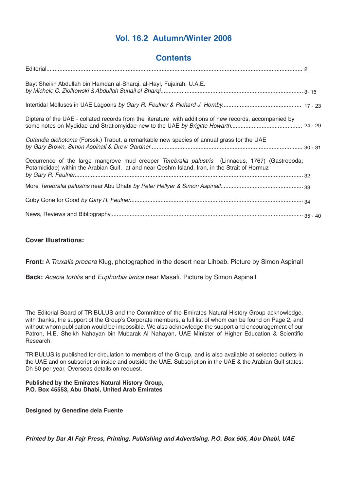# **Vol. 16.2 Autumn/Winter 2006**

# **Contents**

| Bayt Sheikh Abdullah bin Hamdan al-Sharqi, al-Hayl, Fujairah, U.A.E.                                                                                                                             |  |
|--------------------------------------------------------------------------------------------------------------------------------------------------------------------------------------------------|--|
|                                                                                                                                                                                                  |  |
| Diptera of the UAE - collated records from the literature with additions of new records, accompanied by                                                                                          |  |
| Cutandia dichotoma (Forssk.) Trabut, a remarkable new species of annual grass for the UAE                                                                                                        |  |
| Occurrence of the large mangrove mud creeper Terebralia palustris (Linnaeus, 1767) (Gastropoda;<br>Potamididae) within the Arabian Gulf, at and near Qeshm Island, Iran, in the Strait of Hormuz |  |
|                                                                                                                                                                                                  |  |
|                                                                                                                                                                                                  |  |
|                                                                                                                                                                                                  |  |

# **Cover Illustrations:**

**Front:** A Truxalis procera Klug, photographed in the desert near Lihbab. Picture by Simon Aspinall

**Back:** Acacia tortilis and Euphorbia larica near Masafi. Picture by Simon Aspinall.

The Editorial Board of TRIBULUS and the Committee of the Emirates Natural History Group acknowledge, with thanks, the support of the Group's Corporate members, a full list of whom can be found on Page 2, and without whom publication would be impossible. We also acknowledge the support and encouragement of our Patron, H.E. Sheikh Nahayan bin Mubarak Al Nahayan, UAE Minister of Higher Education & Scientific Research.

TRIBULUS is published for circulation to members of the Group, and is also available at selected outlets in the UAE and on subscription inside and outside the UAE. Subscription in the UAE & the Arabian Gulf states: Dh 50 per year. Overseas details on request.

## **Published by the Emirates Natural History Group, P.O. Box 45553, Abu Dhabi, United Arab Emirates**

**Designed by Genedine dela Fuente**

*Printed by Dar Al Fajr Press, Printing, Publishing and Advertising, P.O. Box 505, Abu Dhabi, UAE*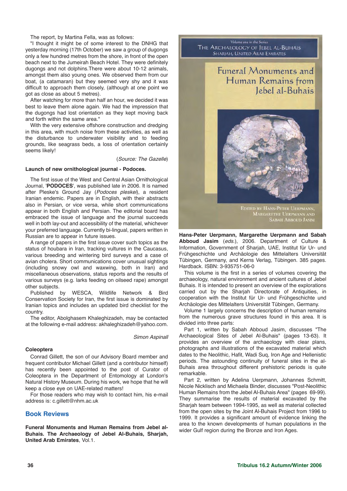The report, by Martina Fella, was as follows:

"I thought it might be of some interest to the DNHG that yesterday morning (17th October) we saw a group of dugongs only a few hundred metres from the shore, in front of the open beach next to the Jumeirah Beach Hotel. They were definitely dugongs and not dolphins.There were about 10-12 animals, amongst them also young ones. We observed them from our boat, (a catamaran) but they seemed very shy and it was difficult to approach them closely, (although at one point we got as close as about 5 metres).

After watching for more than half an hour, we decided it was best to leave them alone again. We had the impression that the dugongs had lost orientation as they kept moving back and forth within the same area."

With the very extensive offshore construction and dredging in this area, with much noise from these activities, as well as the disturbance to underwater visibility and to feeding grounds, like seagrass beds, a loss of orientation certainly seems likely!

(Source: The Gazelle)

### **Launch of new ornithological journal - Podoces.**

The first issue of the West and Central Asian Ornithological Journal, '**PODOCES**', was published late in 2006. It is named after Pleske's Ground Jay (Podoces pleskei), a resident Iranian endemic. Papers are in English, with their abstracts also in Persian, or vice versa, while short communications appear in both English and Persian. The editorial board has embraced the issue of language and the journal succeeds well in both lay-out and accessibility of the material, whichever your preferred language. Currently bi-lingual, papers written in Russian are to appear in future issues.

A range of papers in the first issue cover such topics as the status of houbara in Iran, tracking vultures in the Caucasus, various breeding and wintering bird surveys and a case of avian cholera. Short communications cover unusual sightings (including snowy owl and waxwing, both in Iran) and miscellaneous observations, status reports and the results of various surveys (e.g. larks feeding on oilseed rape) amongst other subjects.<br>Published by

WESCA, Wildlife Network & Bird Conservation Society for Iran, the first issue is dominated by Iranian topics and includes an updated bird checklist for the country.

The editor, Abolghasem Khaleghizadeh, may be contacted at the following e-mail address: akhaleghizadeh@yahoo.com.

Simon Aspinall

### **Coleoptera**

Conrad Gillett, the son of our Advisory Board member and frequent contributor Michael Gillett (and a contributor himself) has recently been appointed to the post of Curator of Coleoptera in the Department of Entomology at London's Natural History Museum. During his work, we hope that he will keep a close eye on UAE-related matters!

For those readers who may wish to contact him, his e-mail address is: c.gillett@nhm.ac.uk

### **Book Reviews**

**Funeral Monuments and Human Remains from Jebel al-Buhais. The Archaeology of Jebel Al-Buhais, Sharjah, United Arab Emirates**, Vol.1.



**Hans-Peter Uerpmann, Margarethe Uerpmann and Sabah Abboud Jasim** (eds.), 2006. Department of Culture & Information, Government of Sharjah, UAE, Institut für Ur- und Frühgeschichte und Archäologie des Mittelalters Universität Tübingen, Germany, and Kerns Verlag, Tübingen. 385 pages. Hardback. ISBN: 3-935751-06-0

This volume is the first in a series of volumes covering the archaeology, natural environment and ancient cultures of Jebel Buhais. It is intended to present an overview of the explorations carried out by the Sharjah Directorate of Antiquities, in cooperation with the Institut für Ur- und Frühgeschichte und Archäologie des Mittelalters Universität Tübingen, Germany.

Volume 1 largely concerns the description of human remains from the numerous grave structures found in this area. It is divided into three parts:

Part 1, written by Sabah Abboud Jasim, discusses "The Archaeological Sites of Jebel Al-Buhais" (pages 13-63). It provides an overview of the archaeology with clear plans, photographs and illustrations of the excavated material which dates to the Neolithic, Hafit, Wadi Suq, Iron Age and Hellenistic periods. The astounding continuity of funeral sites in the al-Buhais area throughout different prehistoric periods is quite remarkable.

Part 2, written by Adelina Uerpmann, Johannes Schmitt, Nicole Nicklisch and Michaela Binder, discusses "Post-Neolithic Human Remains from the Jebel Al-Buhais Area" (pages 69-99). They summarise the results of material excavated by the Sharjah team between 1994-1995, as well as material collected from the open sites by the Joint Al-Buhais Project from 1996 to 1999. It provides a significant amount of evidence linking the area to the known developments of human populations in the wider Gulf region during the Bronze and Iron Ages.